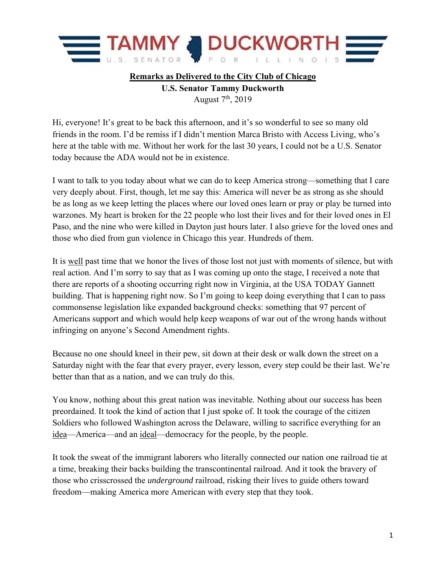

## **Remarks as Delivered to the City Club of Chicago U.S. Senator Tammy Duckworth**  August 7th, 2019

Hi, everyone! It's great to be back this afternoon, and it's so wonderful to see so many old friends in the room. I'd be remiss if I didn't mention Marca Bristo with Access Living, who's here at the table with me. Without her work for the last 30 years, I could not be a U.S. Senator today because the ADA would not be in existence.

I want to talk to you today about what we can do to keep America strong—something that I care very deeply about. First, though, let me say this: America will never be as strong as she should be as long as we keep letting the places where our loved ones learn or pray or play be turned into warzones. My heart is broken for the 22 people who lost their lives and for their loved ones in El Paso, and the nine who were killed in Dayton just hours later. I also grieve for the loved ones and those who died from gun violence in Chicago this year. Hundreds of them.

It is well past time that we honor the lives of those lost not just with moments of silence, but with real action. And I'm sorry to say that as I was coming up onto the stage, I received a note that there are reports of a shooting occurring right now in Virginia, at the USA TODAY Gannett building. That is happening right now. So I'm going to keep doing everything that I can to pass commonsense legislation like expanded background checks: something that 97 percent of Americans support and which would help keep weapons of war out of the wrong hands without infringing on anyone's Second Amendment rights.

Because no one should kneel in their pew, sit down at their desk or walk down the street on a Saturday night with the fear that every prayer, every lesson, every step could be their last. We're better than that as a nation, and we can truly do this.

You know, nothing about this great nation was inevitable. Nothing about our success has been preordained. It took the kind of action that I just spoke of. It took the courage of the citizen Soldiers who followed Washington across the Delaware, willing to sacrifice everything for an idea—America—and an ideal—democracy for the people, by the people.

It took the sweat of the immigrant laborers who literally connected our nation one railroad tie at a time, breaking their backs building the transcontinental railroad. And it took the bravery of those who crisscrossed the *underground* railroad, risking their lives to guide others toward freedom—making America more American with every step that they took.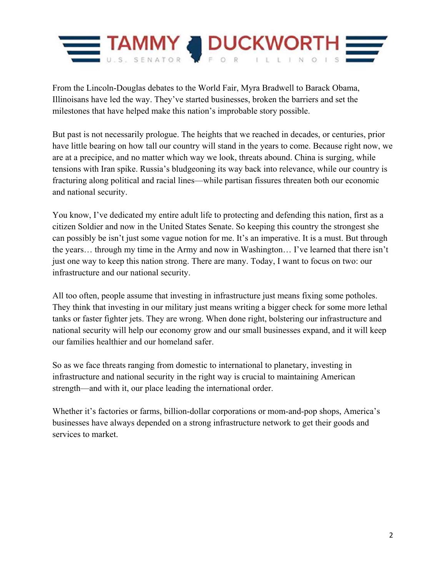

From the Lincoln-Douglas debates to the World Fair, Myra Bradwell to Barack Obama, Illinoisans have led the way. They've started businesses, broken the barriers and set the milestones that have helped make this nation's improbable story possible.

But past is not necessarily prologue. The heights that we reached in decades, or centuries, prior have little bearing on how tall our country will stand in the years to come. Because right now, we are at a precipice, and no matter which way we look, threats abound. China is surging, while tensions with Iran spike. Russia's bludgeoning its way back into relevance, while our country is fracturing along political and racial lines—while partisan fissures threaten both our economic and national security.

You know, I've dedicated my entire adult life to protecting and defending this nation, first as a citizen Soldier and now in the United States Senate. So keeping this country the strongest she can possibly be isn't just some vague notion for me. It's an imperative. It is a must. But through the years… through my time in the Army and now in Washington… I've learned that there isn't just one way to keep this nation strong. There are many. Today, I want to focus on two: our infrastructure and our national security.

All too often, people assume that investing in infrastructure just means fixing some potholes. They think that investing in our military just means writing a bigger check for some more lethal tanks or faster fighter jets. They are wrong. When done right, bolstering our infrastructure and national security will help our economy grow and our small businesses expand, and it will keep our families healthier and our homeland safer.

So as we face threats ranging from domestic to international to planetary, investing in infrastructure and national security in the right way is crucial to maintaining American strength—and with it, our place leading the international order.

Whether it's factories or farms, billion-dollar corporations or mom-and-pop shops, America's businesses have always depended on a strong infrastructure network to get their goods and services to market.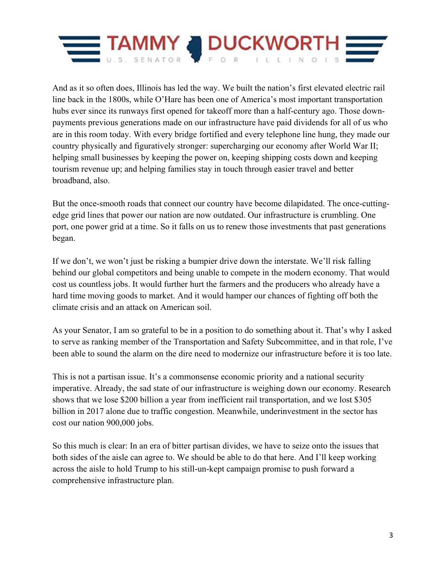

And as it so often does, Illinois has led the way. We built the nation's first elevated electric rail line back in the 1800s, while O'Hare has been one of America's most important transportation hubs ever since its runways first opened for takeoff more than a half-century ago. Those downpayments previous generations made on our infrastructure have paid dividends for all of us who are in this room today. With every bridge fortified and every telephone line hung, they made our country physically and figuratively stronger: supercharging our economy after World War II; helping small businesses by keeping the power on, keeping shipping costs down and keeping tourism revenue up; and helping families stay in touch through easier travel and better broadband, also.

But the once-smooth roads that connect our country have become dilapidated. The once-cuttingedge grid lines that power our nation are now outdated. Our infrastructure is crumbling. One port, one power grid at a time. So it falls on us to renew those investments that past generations began.

If we don't, we won't just be risking a bumpier drive down the interstate. We'll risk falling behind our global competitors and being unable to compete in the modern economy. That would cost us countless jobs. It would further hurt the farmers and the producers who already have a hard time moving goods to market. And it would hamper our chances of fighting off both the climate crisis and an attack on American soil.

As your Senator, I am so grateful to be in a position to do something about it. That's why I asked to serve as ranking member of the Transportation and Safety Subcommittee, and in that role, I've been able to sound the alarm on the dire need to modernize our infrastructure before it is too late.

This is not a partisan issue. It's a commonsense economic priority and a national security imperative. Already, the sad state of our infrastructure is weighing down our economy. Research shows that we lose \$200 billion a year from inefficient rail transportation, and we lost \$305 billion in 2017 alone due to traffic congestion. Meanwhile, underinvestment in the sector has cost our nation 900,000 jobs.

So this much is clear: In an era of bitter partisan divides, we have to seize onto the issues that both sides of the aisle can agree to. We should be able to do that here. And I'll keep working across the aisle to hold Trump to his still-un-kept campaign promise to push forward a comprehensive infrastructure plan.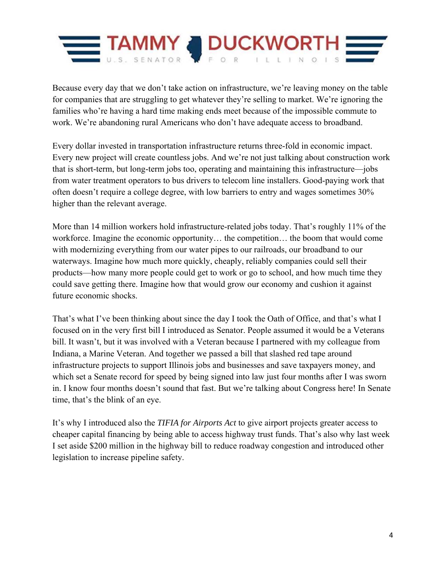

Because every day that we don't take action on infrastructure, we're leaving money on the table for companies that are struggling to get whatever they're selling to market. We're ignoring the families who're having a hard time making ends meet because of the impossible commute to work. We're abandoning rural Americans who don't have adequate access to broadband.

Every dollar invested in transportation infrastructure returns three-fold in economic impact. Every new project will create countless jobs. And we're not just talking about construction work that is short-term, but long-term jobs too, operating and maintaining this infrastructure—jobs from water treatment operators to bus drivers to telecom line installers. Good-paying work that often doesn't require a college degree, with low barriers to entry and wages sometimes 30% higher than the relevant average.

More than 14 million workers hold infrastructure-related jobs today. That's roughly 11% of the workforce. Imagine the economic opportunity… the competition… the boom that would come with modernizing everything from our water pipes to our railroads, our broadband to our waterways. Imagine how much more quickly, cheaply, reliably companies could sell their products—how many more people could get to work or go to school, and how much time they could save getting there. Imagine how that would grow our economy and cushion it against future economic shocks.

That's what I've been thinking about since the day I took the Oath of Office, and that's what I focused on in the very first bill I introduced as Senator. People assumed it would be a Veterans bill. It wasn't, but it was involved with a Veteran because I partnered with my colleague from Indiana, a Marine Veteran. And together we passed a bill that slashed red tape around infrastructure projects to support Illinois jobs and businesses and save taxpayers money, and which set a Senate record for speed by being signed into law just four months after I was sworn in. I know four months doesn't sound that fast. But we're talking about Congress here! In Senate time, that's the blink of an eye.

It's why I introduced also the *TIFIA for Airports Act* to give airport projects greater access to cheaper capital financing by being able to access highway trust funds. That's also why last week I set aside \$200 million in the highway bill to reduce roadway congestion and introduced other legislation to increase pipeline safety.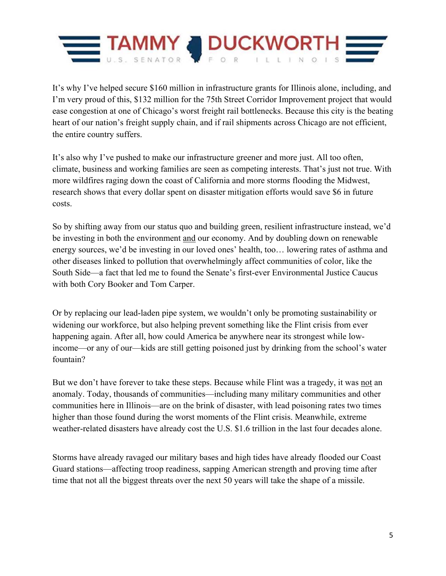

It's why I've helped secure \$160 million in infrastructure grants for Illinois alone, including, and I'm very proud of this, \$132 million for the 75th Street Corridor Improvement project that would ease congestion at one of Chicago's worst freight rail bottlenecks. Because this city is the beating heart of our nation's freight supply chain, and if rail shipments across Chicago are not efficient, the entire country suffers.

It's also why I've pushed to make our infrastructure greener and more just. All too often, climate, business and working families are seen as competing interests. That's just not true. With more wildfires raging down the coast of California and more storms flooding the Midwest, research shows that every dollar spent on disaster mitigation efforts would save \$6 in future costs.

So by shifting away from our status quo and building green, resilient infrastructure instead, we'd be investing in both the environment and our economy. And by doubling down on renewable energy sources, we'd be investing in our loved ones' health, too… lowering rates of asthma and other diseases linked to pollution that overwhelmingly affect communities of color, like the South Side—a fact that led me to found the Senate's first-ever Environmental Justice Caucus with both Cory Booker and Tom Carper.

Or by replacing our lead-laden pipe system, we wouldn't only be promoting sustainability or widening our workforce, but also helping prevent something like the Flint crisis from ever happening again. After all, how could America be anywhere near its strongest while lowincome—or any of our—kids are still getting poisoned just by drinking from the school's water fountain?

But we don't have forever to take these steps. Because while Flint was a tragedy, it was not an anomaly. Today, thousands of communities—including many military communities and other communities here in Illinois—are on the brink of disaster, with lead poisoning rates two times higher than those found during the worst moments of the Flint crisis. Meanwhile, extreme weather-related disasters have already cost the U.S. \$1.6 trillion in the last four decades alone.

Storms have already ravaged our military bases and high tides have already flooded our Coast Guard stations—affecting troop readiness, sapping American strength and proving time after time that not all the biggest threats over the next 50 years will take the shape of a missile.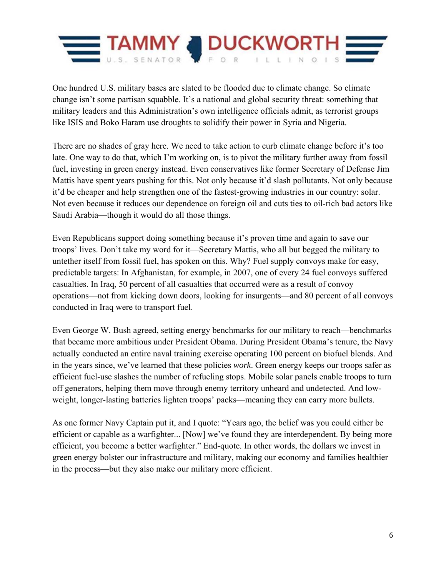

One hundred U.S. military bases are slated to be flooded due to climate change. So climate change isn't some partisan squabble. It's a national and global security threat: something that military leaders and this Administration's own intelligence officials admit, as terrorist groups like ISIS and Boko Haram use droughts to solidify their power in Syria and Nigeria.

There are no shades of gray here. We need to take action to curb climate change before it's too late. One way to do that, which I'm working on, is to pivot the military further away from fossil fuel, investing in green energy instead. Even conservatives like former Secretary of Defense Jim Mattis have spent years pushing for this. Not only because it'd slash pollutants. Not only because it'd be cheaper and help strengthen one of the fastest-growing industries in our country: solar. Not even because it reduces our dependence on foreign oil and cuts ties to oil-rich bad actors like Saudi Arabia—though it would do all those things.

Even Republicans support doing something because it's proven time and again to save our troops' lives. Don't take my word for it—Secretary Mattis, who all but begged the military to untether itself from fossil fuel, has spoken on this. Why? Fuel supply convoys make for easy, predictable targets: In Afghanistan, for example, in 2007, one of every 24 fuel convoys suffered casualties. In Iraq, 50 percent of all casualties that occurred were as a result of convoy operations—not from kicking down doors, looking for insurgents—and 80 percent of all convoys conducted in Iraq were to transport fuel.

Even George W. Bush agreed, setting energy benchmarks for our military to reach—benchmarks that became more ambitious under President Obama. During President Obama's tenure, the Navy actually conducted an entire naval training exercise operating 100 percent on biofuel blends. And in the years since, we've learned that these policies *work*. Green energy keeps our troops safer as efficient fuel-use slashes the number of refueling stops. Mobile solar panels enable troops to turn off generators, helping them move through enemy territory unheard and undetected. And lowweight, longer-lasting batteries lighten troops' packs—meaning they can carry more bullets.

As one former Navy Captain put it, and I quote: "Years ago, the belief was you could either be efficient or capable as a warfighter... [Now] we've found they are interdependent. By being more efficient, you become a better warfighter." End-quote. In other words, the dollars we invest in green energy bolster our infrastructure and military, making our economy and families healthier in the process—but they also make our military more efficient.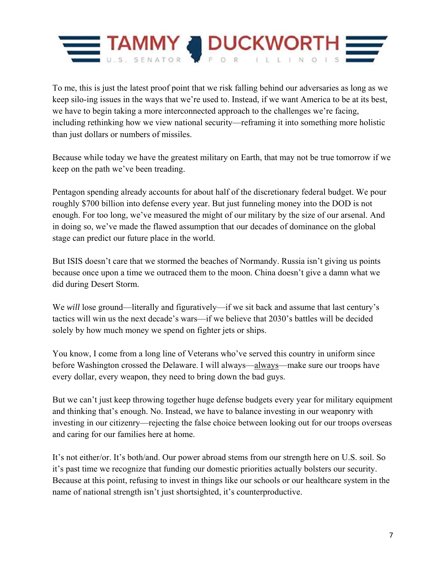

To me, this is just the latest proof point that we risk falling behind our adversaries as long as we keep silo-ing issues in the ways that we're used to. Instead, if we want America to be at its best, we have to begin taking a more interconnected approach to the challenges we're facing, including rethinking how we view national security—reframing it into something more holistic than just dollars or numbers of missiles.

Because while today we have the greatest military on Earth, that may not be true tomorrow if we keep on the path we've been treading.

Pentagon spending already accounts for about half of the discretionary federal budget. We pour roughly \$700 billion into defense every year. But just funneling money into the DOD is not enough. For too long, we've measured the might of our military by the size of our arsenal. And in doing so, we've made the flawed assumption that our decades of dominance on the global stage can predict our future place in the world.

But ISIS doesn't care that we stormed the beaches of Normandy. Russia isn't giving us points because once upon a time we outraced them to the moon. China doesn't give a damn what we did during Desert Storm.

We *will* lose ground—literally and figuratively—if we sit back and assume that last century's tactics will win us the next decade's wars—if we believe that 2030's battles will be decided solely by how much money we spend on fighter jets or ships.

You know, I come from a long line of Veterans who've served this country in uniform since before Washington crossed the Delaware. I will always—always—make sure our troops have every dollar, every weapon, they need to bring down the bad guys.

But we can't just keep throwing together huge defense budgets every year for military equipment and thinking that's enough. No. Instead, we have to balance investing in our weaponry with investing in our citizenry—rejecting the false choice between looking out for our troops overseas and caring for our families here at home.

It's not either/or. It's both/and. Our power abroad stems from our strength here on U.S. soil. So it's past time we recognize that funding our domestic priorities actually bolsters our security. Because at this point, refusing to invest in things like our schools or our healthcare system in the name of national strength isn't just shortsighted, it's counterproductive.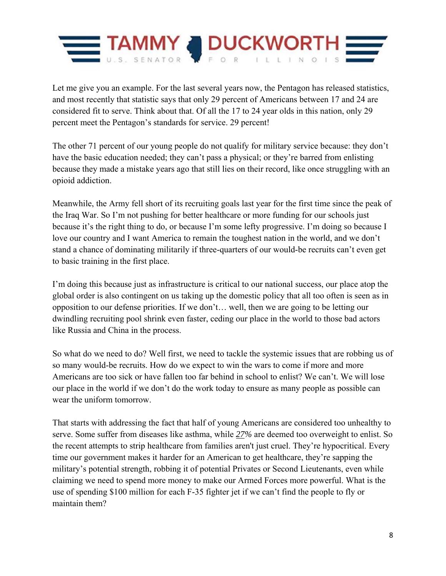

Let me give you an example. For the last several years now, the Pentagon has released statistics, and most recently that statistic says that only 29 percent of Americans between 17 and 24 are considered fit to serve. Think about that. Of all the 17 to 24 year olds in this nation, only 29 percent meet the Pentagon's standards for service. 29 percent!

The other 71 percent of our young people do not qualify for military service because: they don't have the basic education needed; they can't pass a physical; or they're barred from enlisting because they made a mistake years ago that still lies on their record, like once struggling with an opioid addiction.

Meanwhile, the Army fell short of its recruiting goals last year for the first time since the peak of the Iraq War. So I'm not pushing for better healthcare or more funding for our schools just because it's the right thing to do, or because I'm some lefty progressive. I'm doing so because I love our country and I want America to remain the toughest nation in the world, and we don't stand a chance of dominating militarily if three-quarters of our would-be recruits can't even get to basic training in the first place.

I'm doing this because just as infrastructure is critical to our national success, our place atop the global order is also contingent on us taking up the domestic policy that all too often is seen as in opposition to our defense priorities. If we don't… well, then we are going to be letting our dwindling recruiting pool shrink even faster, ceding our place in the world to those bad actors like Russia and China in the process.

So what do we need to do? Well first, we need to tackle the systemic issues that are robbing us of so many would-be recruits. How do we expect to win the wars to come if more and more Americans are too sick or have fallen too far behind in school to enlist? We can't. We will lose our place in the world if we don't do the work today to ensure as many people as possible can wear the uniform tomorrow.

That starts with addressing the fact that half of young Americans are considered too unhealthy to serve. Some suffer from diseases like asthma, while *27%* are deemed too overweight to enlist. So the recent attempts to strip healthcare from families aren't just cruel. They're hypocritical. Every time our government makes it harder for an American to get healthcare, they're sapping the military's potential strength, robbing it of potential Privates or Second Lieutenants, even while claiming we need to spend more money to make our Armed Forces more powerful. What is the use of spending \$100 million for each F-35 fighter jet if we can't find the people to fly or maintain them?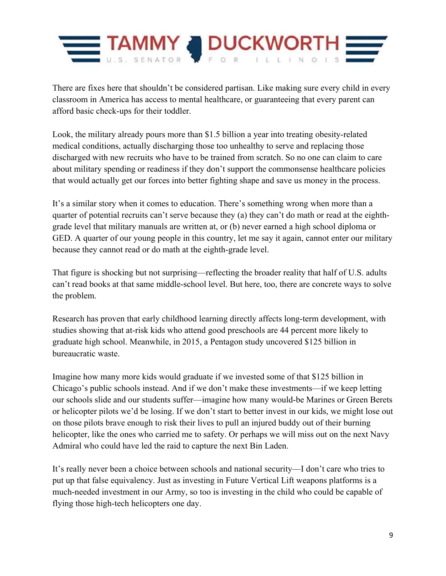

There are fixes here that shouldn't be considered partisan. Like making sure every child in every classroom in America has access to mental healthcare, or guaranteeing that every parent can afford basic check-ups for their toddler.

Look, the military already pours more than \$1.5 billion a year into treating obesity-related medical conditions, actually discharging those too unhealthy to serve and replacing those discharged with new recruits who have to be trained from scratch. So no one can claim to care about military spending or readiness if they don't support the commonsense healthcare policies that would actually get our forces into better fighting shape and save us money in the process.

It's a similar story when it comes to education. There's something wrong when more than a quarter of potential recruits can't serve because they (a) they can't do math or read at the eighthgrade level that military manuals are written at, or (b) never earned a high school diploma or GED. A quarter of our young people in this country, let me say it again, cannot enter our military because they cannot read or do math at the eighth-grade level.

That figure is shocking but not surprising—reflecting the broader reality that half of U.S. adults can't read books at that same middle-school level. But here, too, there are concrete ways to solve the problem.

Research has proven that early childhood learning directly affects long-term development, with studies showing that at-risk kids who attend good preschools are 44 percent more likely to graduate high school. Meanwhile, in 2015, a Pentagon study uncovered \$125 billion in bureaucratic waste.

Imagine how many more kids would graduate if we invested some of that \$125 billion in Chicago's public schools instead. And if we don't make these investments—if we keep letting our schools slide and our students suffer—imagine how many would-be Marines or Green Berets or helicopter pilots we'd be losing. If we don't start to better invest in our kids, we might lose out on those pilots brave enough to risk their lives to pull an injured buddy out of their burning helicopter, like the ones who carried me to safety. Or perhaps we will miss out on the next Navy Admiral who could have led the raid to capture the next Bin Laden.

It's really never been a choice between schools and national security—I don't care who tries to put up that false equivalency. Just as investing in Future Vertical Lift weapons platforms is a much-needed investment in our Army, so too is investing in the child who could be capable of flying those high-tech helicopters one day.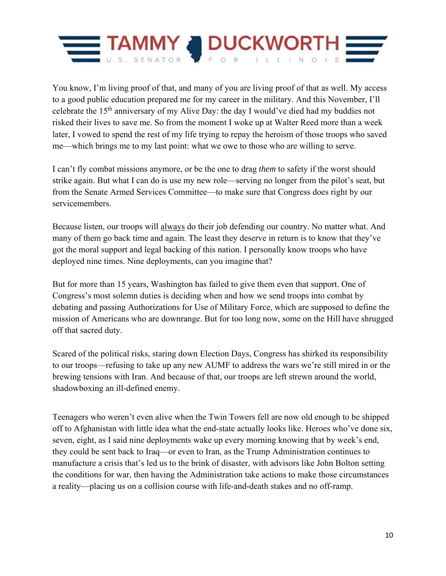

You know, I'm living proof of that, and many of you are living proof of that as well. My access to a good public education prepared me for my career in the military. And this November, I'll celebrate the 15th anniversary of my Alive Day: the day I would've died had my buddies not risked their lives to save me. So from the moment I woke up at Walter Reed more than a week later, I vowed to spend the rest of my life trying to repay the heroism of those troops who saved me—which brings me to my last point: what we owe to those who are willing to serve.

I can't fly combat missions anymore, or be the one to drag *them* to safety if the worst should strike again. But what I can do is use my new role—serving no longer from the pilot's seat, but from the Senate Armed Services Committee—to make sure that Congress does right by our servicemembers.

Because listen, our troops will always do their job defending our country. No matter what. And many of them go back time and again. The least they deserve in return is to know that they've got the moral support and legal backing of this nation. I personally know troops who have deployed nine times. Nine deployments, can you imagine that?

But for more than 15 years, Washington has failed to give them even that support. One of Congress's most solemn duties is deciding when and how we send troops into combat by debating and passing Authorizations for Use of Military Force, which are supposed to define the mission of Americans who are downrange. But for too long now, some on the Hill have shrugged off that sacred duty.

Scared of the political risks, staring down Election Days, Congress has shirked its responsibility to our troops—refusing to take up any new AUMF to address the wars we're still mired in or the brewing tensions with Iran. And because of that, our troops are left strewn around the world, shadowboxing an ill-defined enemy.

Teenagers who weren't even alive when the Twin Towers fell are now old enough to be shipped off to Afghanistan with little idea what the end-state actually looks like. Heroes who've done six, seven, eight, as I said nine deployments wake up every morning knowing that by week's end, they could be sent back to Iraq—or even to Iran, as the Trump Administration continues to manufacture a crisis that's led us to the brink of disaster, with advisors like John Bolton setting the conditions for war, then having the Administration take actions to make those circumstances a reality—placing us on a collision course with life-and-death stakes and no off-ramp.